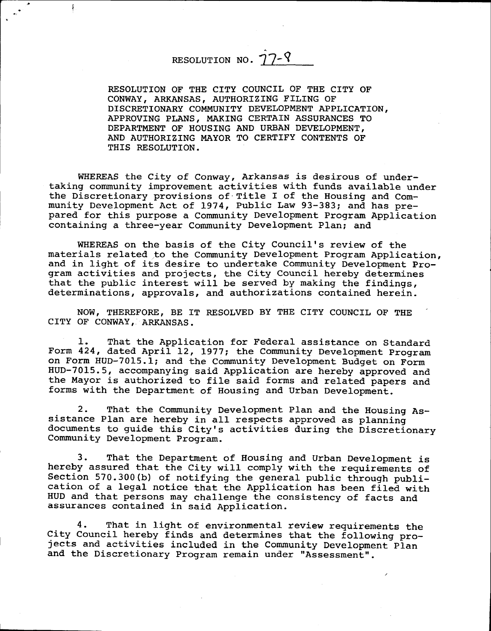## RESOLUTION NO.  $\hat{1}$ 7--

ŧ

RESOLUTION OF THE CITY COUNCIL OF THE CITY OF coNwAY, ARKANSAS, AUTHORIZTNG FTLTNG OF DISCRETIONARY COMMUNITY DEVELOPMENT APPLICATION, APPROVING PLANS, MAKING CERTAIN ASSURANCES TO DEPARTMENT OF HOUSING AND URBAN DEVELOPMENT, AND AUTHORIZING MAYOR TO CERTIFY CONTENTS OF THIS RESOLUTION.

WHEREAS the City of Conway, Arkansas is desirous of undertaking community improvement activities with funds available under the Discretionary provisions of'Title I of the Housing and Community Development Act of 1974, Public Law 93-383; and has prepared for this purpose a Conmunity nevelopment Program Application containing a three-year Community Development PIan; and

WHEREAS on the basis of the City Council's review of the materials related to the Community Development Program Application, and in light of its desire to undertake Community Development Program activities and projects, the City Council hereby determine that the public interest will be served by making the finding determinations, approvals, and authorizations contained herein.

NOW, THEREFORE, BE IT RESOLVED BY THE CITY COUNCIL OF THE CITY OF CONWAY, ARKANSAS.

1. That the Application for Federal assistance on Standard Form 424, dated April L2, L977; the community Development program on Form HUD-7015.1; and the Community Development Budget on Form HUD-7015.5, accompanying said Application are hereby approved and the Mayor is authorized to file said forms and related papers and forms with the Department of Housing and Urban Development.

2. That the Community Development Plan and the Housing Assistance Plan are hereby in all respects approved as planning documents to guide this City's activities during the Discretionary Community Development Program.

3. That the Department of Housing and Urban Development is hereby assured that the City will comply with the requirements of Section 570.300(b) of notifying the general public through publication of a legaL notice that the Application has been filed with HUD and that persons may challenge the consistency of facts and assurances contained in said Application.

4. That in light of environmental review requirements the City Council" hereby finds and determines that the following projects and activities included in the Community Development plan and the Discretionary Program remain under "Assessment".